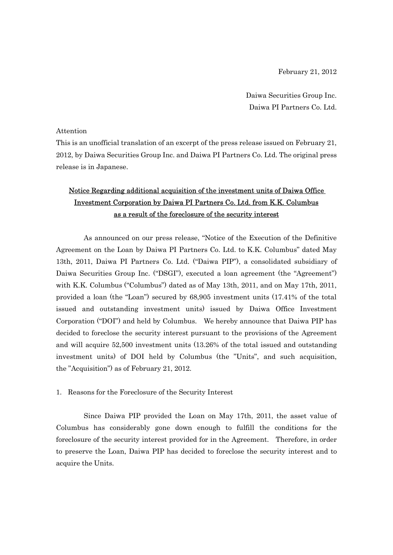February 21, 2012

Daiwa Securities Group Inc. Daiwa PI Partners Co. Ltd.

#### Attention

This is an unofficial translation of an excerpt of the press release issued on February 21, 2012, by Daiwa Securities Group Inc. and Daiwa PI Partners Co. Ltd. The original press release is in Japanese.

# Notice Regarding additional acquisition of the investment units of Daiwa Office Investment Corporation by Daiwa PI Partners Co. Ltd. from K.K. Columbus as a result of the foreclosure of the security interest

As announced on our press release, "Notice of the Execution of the Definitive Agreement on the Loan by Daiwa PI Partners Co. Ltd. to K.K. Columbus" dated May 13th, 2011, Daiwa PI Partners Co. Ltd. ("Daiwa PIP"), a consolidated subsidiary of Daiwa Securities Group Inc. ("DSGI"), executed a loan agreement (the "Agreement") with K.K. Columbus ("Columbus") dated as of May 13th, 2011, and on May 17th, 2011, provided a loan (the "Loan") secured by 68,905 investment units (17.41% of the total issued and outstanding investment units) issued by Daiwa Office Investment Corporation ("DOI") and held by Columbus. We hereby announce that Daiwa PIP has decided to foreclose the security interest pursuant to the provisions of the Agreement and will acquire 52,500 investment units (13.26% of the total issued and outstanding investment units) of DOI held by Columbus (the "Units", and such acquisition, the "Acquisition") as of February 21, 2012.

### 1. Reasons for the Foreclosure of the Security Interest

Since Daiwa PIP provided the Loan on May 17th, 2011, the asset value of Columbus has considerably gone down enough to fulfill the conditions for the foreclosure of the security interest provided for in the Agreement. Therefore, in order to preserve the Loan, Daiwa PIP has decided to foreclose the security interest and to acquire the Units.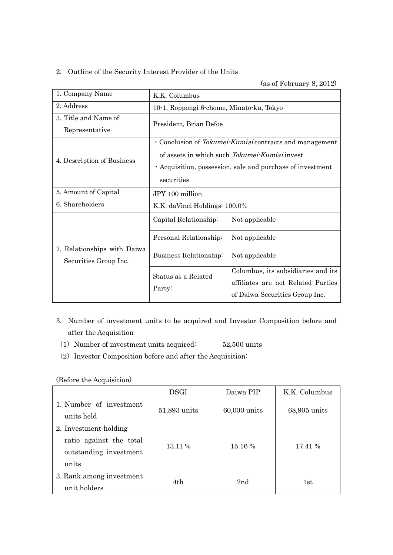## 2. Outline of the Security Interest Provider of the Units

# (as of February 8, 2012)

| 1. Company Name                                      | K.K. Columbus                                                                                                                                                                        |                                                                                                            |  |  |
|------------------------------------------------------|--------------------------------------------------------------------------------------------------------------------------------------------------------------------------------------|------------------------------------------------------------------------------------------------------------|--|--|
| 2. Address                                           | 10-1, Roppongi 6-chome, Minato-ku, Tokyo                                                                                                                                             |                                                                                                            |  |  |
| 3. Title and Name of<br>Representative               | President, Brian Defoe                                                                                                                                                               |                                                                                                            |  |  |
| 4. Description of Business                           | · Conclusion of Tokumei-Kumiai contracts and management<br>of assets in which such Tokumei-Kumiai invest<br>• Acquisition, possession, sale and purchase of investment<br>securities |                                                                                                            |  |  |
| 5. Amount of Capital                                 | JPY 100 million                                                                                                                                                                      |                                                                                                            |  |  |
| 6. Shareholders                                      | K.K. daVinci Holdings: 100.0%                                                                                                                                                        |                                                                                                            |  |  |
| 7. Relationships with Daiwa<br>Securities Group Inc. | Capital Relationship:                                                                                                                                                                | Not applicable                                                                                             |  |  |
|                                                      | Personal Relationship:                                                                                                                                                               | Not applicable                                                                                             |  |  |
|                                                      | Business Relationship:                                                                                                                                                               | Not applicable                                                                                             |  |  |
|                                                      | Status as a Related<br>Party:                                                                                                                                                        | Columbus, its subsidiaries and its<br>affiliates are not Related Parties<br>of Daiwa Securities Group Inc. |  |  |

- 3. Number of investment units to be acquired and Investor Composition before and after the Acquisition
	- (1) Number of investment units acquired:  $52,500$  units
	- $(2)$  Investor Composition before and after the Acquisition:

(Before the Acquisition)

|                                                                                     | <b>DSGI</b>  | Daiwa PIP    | K.K. Columbus |
|-------------------------------------------------------------------------------------|--------------|--------------|---------------|
| 1. Number of investment<br>units held                                               | 51,893 units | 60,000 units | 68,905 units  |
| 2. Investment-holding<br>ratio against the total<br>outstanding investment<br>units | 13.11 %      | 15.16 %      | 17.41 %       |
| 3. Rank among investment<br>unit holders                                            | 4th          | 2nd          | 1st           |